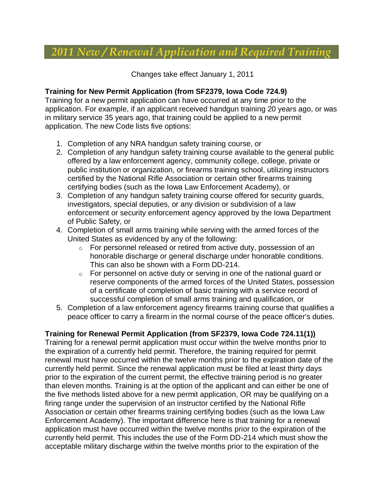# *2011 New / Renewal Application and Required Training*

Changes take effect January 1, 2011

#### **Training for New Permit Application (from SF2379, Iowa Code 724.9)**

Training for a new permit application can have occurred at any time prior to the application. For example, if an applicant received handgun training 20 years ago, or was in military service 35 years ago, that training could be applied to a new permit application. The new Code lists five options:

- 1. Completion of any NRA handgun safety training course, or
- 2. Completion of any handgun safety training course available to the general public offered by a law enforcement agency, community college, college, private or public institution or organization, or firearms training school, utilizing instructors certified by the National Rifle Association or certain other firearms training certifying bodies (such as the Iowa Law Enforcement Academy), or
- 3. Completion of any handgun safety training course offered for security guards, investigators, special deputies, or any division or subdivision of a law enforcement or security enforcement agency approved by the Iowa Department of Public Safety, or
- 4. Completion of small arms training while serving with the armed forces of the United States as evidenced by any of the following:
	- o For personnel released or retired from active duty, possession of an honorable discharge or general discharge under honorable conditions. This can also be shown with a Form DD-214.
	- $\circ$  For personnel on active duty or serving in one of the national guard or reserve components of the armed forces of the United States, possession of a certificate of completion of basic training with a service record of successful completion of small arms training and qualification, or
- 5. Completion of a law enforcement agency firearms training course that qualifies a peace officer to carry a firearm in the normal course of the peace officer's duties.

## **Training for Renewal Permit Application (from SF2379, Iowa Code 724.11(1))**

Training for a renewal permit application must occur within the twelve months prior to the expiration of a currently held permit. Therefore, the training required for permit renewal must have occurred within the twelve months prior to the expiration date of the currently held permit. Since the renewal application must be filed at least thirty days prior to the expiration of the current permit, the effective training period is no greater than eleven months. Training is at the option of the applicant and can either be one of the five methods listed above for a new permit application, OR may be qualifying on a firing range under the supervision of an instructor certified by the National Rifle Association or certain other firearms training certifying bodies (such as the Iowa Law Enforcement Academy). The important difference here is that training for a renewal application must have occurred within the twelve months prior to the expiration of the currently held permit. This includes the use of the Form DD-214 which must show the acceptable military discharge within the twelve months prior to the expiration of the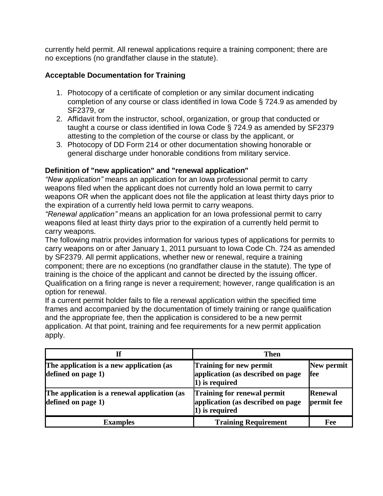currently held permit. All renewal applications require a training component; there are no exceptions (no grandfather clause in the statute).

## **Acceptable Documentation for Training**

- 1. Photocopy of a certificate of completion or any similar document indicating completion of any course or class identified in Iowa Code § 724.9 as amended by SF2379, or
- 2. Affidavit from the instructor, school, organization, or group that conducted or taught a course or class identified in Iowa Code § 724.9 as amended by SF2379 attesting to the completion of the course or class by the applicant, or
- 3. Photocopy of DD Form 214 or other documentation showing honorable or general discharge under honorable conditions from military service.

#### **Definition of "new application" and "renewal application"**

*"New application"* means an application for an Iowa professional permit to carry weapons filed when the applicant does not currently hold an Iowa permit to carry weapons OR when the applicant does not file the application at least thirty days prior to the expiration of a currently held Iowa permit to carry weapons.

*"Renewal application"* means an application for an Iowa professional permit to carry weapons filed at least thirty days prior to the expiration of a currently held permit to carry weapons.

The following matrix provides information for various types of applications for permits to carry weapons on or after January 1, 2011 pursuant to Iowa Code Ch. 724 as amended by SF2379. All permit applications, whether new or renewal, require a training component; there are no exceptions (no grandfather clause in the statute). The type of training is the choice of the applicant and cannot be directed by the issuing officer. Qualification on a firing range is never a requirement; however, range qualification is an option for renewal.

If a current permit holder fails to file a renewal application within the specified time frames and accompanied by the documentation of timely training or range qualification and the appropriate fee, then the application is considered to be a new permit application. At that point, training and fee requirements for a new permit application apply.

|                                                                    | <b>Then</b>                                                                        |                              |
|--------------------------------------------------------------------|------------------------------------------------------------------------------------|------------------------------|
| The application is a new application (as<br>defined on page 1)     | Training for new permit<br>application (as described on page<br>1) is required     | New permit<br>fee            |
| The application is a renewal application (as<br>defined on page 1) | Training for renewal permit<br>application (as described on page<br>1) is required | <b>Renewal</b><br>permit fee |
| <b>Examples</b>                                                    | <b>Training Requirement</b>                                                        | Fee                          |